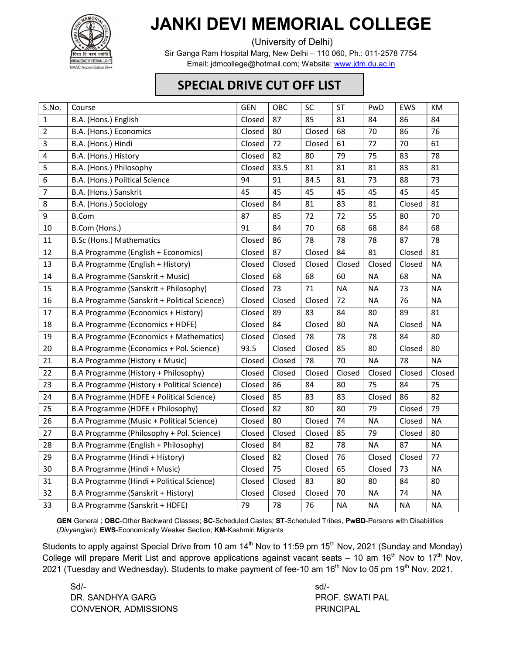

## JANKI DEVI MEMORIAL COLLEGE

(University of Delhi)

Sir Ganga Ram Hospital Marg, New Delhi – 110 060, Ph.: 011-2578 7754 Email: jdmcollege@hotmail.com; Website: www.jdm.du.ac.in

## SPECIAL DRIVE CUT OFF LIST

| S.No.          | Course                                       | <b>GEN</b> | OBC    | <b>SC</b> | <b>ST</b> | PwD       | EWS       | KM        |
|----------------|----------------------------------------------|------------|--------|-----------|-----------|-----------|-----------|-----------|
| $\mathbf{1}$   | B.A. (Hons.) English                         | Closed     | 87     | 85        | 81        | 84        | 86        | 84        |
| $\overline{2}$ | B.A. (Hons.) Economics                       | Closed     | 80     | Closed    | 68        | 70        | 86        | 76        |
| 3              | B.A. (Hons.) Hindi                           | Closed     | 72     | Closed    | 61        | 72        | 70        | 61        |
| $\overline{4}$ | B.A. (Hons.) History                         | Closed     | 82     | 80        | 79        | 75        | 83        | 78        |
| 5              | B.A. (Hons.) Philosophy                      | Closed     | 83.5   | 81        | 81        | 81        | 83        | 81        |
| 6              | B.A. (Hons.) Political Science               | 94         | 91     | 84.5      | 81        | 73        | 88        | 73        |
| $\overline{7}$ | B.A. (Hons.) Sanskrit                        | 45         | 45     | 45        | 45        | 45        | 45        | 45        |
| 8              | B.A. (Hons.) Sociology                       | Closed     | 84     | 81        | 83        | 81        | Closed    | 81        |
| 9              | <b>B.Com</b>                                 | 87         | 85     | 72        | 72        | 55        | 80        | 70        |
| 10             | B.Com (Hons.)                                | 91         | 84     | 70        | 68        | 68        | 84        | 68        |
| 11             | B.Sc (Hons.) Mathematics                     | Closed     | 86     | 78        | 78        | 78        | 87        | 78        |
| 12             | B.A Programme (English + Economics)          | Closed     | 87     | Closed    | 84        | 81        | Closed    | 81        |
| 13             | B.A Programme (English + History)            | Closed     | Closed | Closed    | Closed    | Closed    | Closed    | <b>NA</b> |
| 14             | B.A Programme (Sanskrit + Music)             | Closed     | 68     | 68        | 60        | <b>NA</b> | 68        | <b>NA</b> |
| 15             | B.A Programme (Sanskrit + Philosophy)        | Closed     | 73     | 71        | <b>NA</b> | <b>NA</b> | 73        | <b>NA</b> |
| 16             | B.A Programme (Sanskrit + Political Science) | Closed     | Closed | Closed    | 72        | <b>NA</b> | 76        | <b>NA</b> |
| 17             | B.A Programme (Economics + History)          | Closed     | 89     | 83        | 84        | 80        | 89        | 81        |
| 18             | B.A Programme (Economics + HDFE)             | Closed     | 84     | Closed    | 80        | <b>NA</b> | Closed    | <b>NA</b> |
| 19             | B.A Programme (Economics + Mathematics)      | Closed     | Closed | 78        | 78        | 78        | 84        | 80        |
| 20             | B.A Programme (Economics + Pol. Science)     | 93.5       | Closed | Closed    | 85        | 80        | Closed    | 80        |
| 21             | B.A Programme (History + Music)              | Closed     | Closed | 78        | 70        | <b>NA</b> | 78        | <b>NA</b> |
| 22             | B.A Programme (History + Philosophy)         | Closed     | Closed | Closed    | Closed    | Closed    | Closed    | Closed    |
| 23             | B.A Programme (History + Political Science)  | Closed     | 86     | 84        | 80        | 75        | 84        | 75        |
| 24             | B.A Programme (HDFE + Political Science)     | Closed     | 85     | 83        | 83        | Closed    | 86        | 82        |
| 25             | B.A Programme (HDFE + Philosophy)            | Closed     | 82     | 80        | 80        | 79        | Closed    | 79        |
| 26             | B.A Programme (Music + Political Science)    | Closed     | 80     | Closed    | 74        | <b>NA</b> | Closed    | <b>NA</b> |
| 27             | B.A Programme (Philosophy + Pol. Science)    | Closed     | Closed | Closed    | 85        | 79        | Closed    | 80        |
| 28             | B.A Programme (English + Philosophy)         | Closed     | 84     | 82        | 78        | <b>NA</b> | 87        | <b>NA</b> |
| 29             | B.A Programme (Hindi + History)              | Closed     | 82     | Closed    | 76        | Closed    | Closed    | 77        |
| 30             | B.A Programme (Hindi + Music)                | Closed     | 75     | Closed    | 65        | Closed    | 73        | <b>NA</b> |
| 31             | B.A Programme (Hindi + Political Science)    | Closed     | Closed | 83        | 80        | 80        | 84        | 80        |
| 32             | B.A Programme (Sanskrit + History)           | Closed     | Closed | Closed    | 70        | <b>NA</b> | 74        | <b>NA</b> |
| 33             | B.A Programme (Sanskrit + HDFE)              | 79         | 78     | 76        | <b>NA</b> | <b>NA</b> | <b>NA</b> | <b>NA</b> |
|                |                                              |            |        |           |           |           |           |           |

GEN General ; OBC-Other Backward Classes; SC-Scheduled Castes; ST-Scheduled Tribes, PwBD-Persons with Disabilities (Divyangjan); EWS-Economically Weaker Section; KM-Kashmiri Migrants

Students to apply against Special Drive from 10 am 14<sup>th</sup> Nov to 11:59 pm 15<sup>th</sup> Nov, 2021 (Sunday and Monday) College will prepare Merit List and approve applications against vacant seats – 10 am  $16<sup>th</sup>$  Nov to  $17<sup>th</sup>$  Nov, 2021 (Tuesday and Wednesday). Students to make payment of fee-10 am  $16<sup>th</sup>$  Nov to 05 pm  $19<sup>th</sup>$  Nov, 2021.

 $Sd/-$ DR. SANDHYA GARG PROF. SWATI PAL CONVENOR, ADMISSIONS PRINCIPAL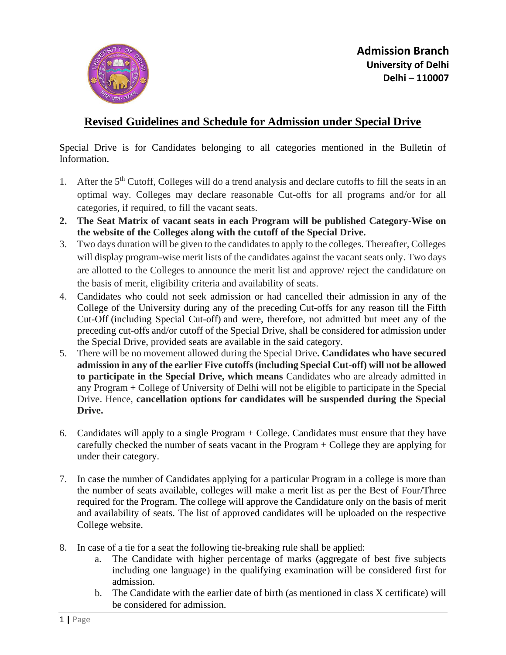

## **Revised Guidelines and Schedule for Admission under Special Drive**

Special Drive is for Candidates belonging to all categories mentioned in the Bulletin of Information.

- 1. After the 5<sup>th</sup> Cutoff, Colleges will do a trend analysis and declare cutoffs to fill the seats in an optimal way. Colleges may declare reasonable Cut-offs for all programs and/or for all categories, if required, to fill the vacant seats.
- **2. The Seat Matrix of vacant seats in each Program will be published Category-Wise on the website of the Colleges along with the cutoff of the Special Drive.**
- 3. Two days duration will be given to the candidates to apply to the colleges. Thereafter, Colleges will display program-wise merit lists of the candidates against the vacant seats only. Two days are allotted to the Colleges to announce the merit list and approve/ reject the candidature on the basis of merit, eligibility criteria and availability of seats.
- 4. Candidates who could not seek admission or had cancelled their admission in any of the College of the University during any of the preceding Cut-offs for any reason till the Fifth Cut-Off (including Special Cut-off) and were, therefore, not admitted but meet any of the preceding cut-offs and/or cutoff of the Special Drive, shall be considered for admission under the Special Drive, provided seats are available in the said category.
- 5. There will be no movement allowed during the Special Drive**. Candidates who have secured admission in any of the earlier Five cutoffs (including Special Cut-off) will not be allowed to participate in the Special Drive, which means** Candidates who are already admitted in any Program + College of University of Delhi will not be eligible to participate in the Special Drive. Hence, **cancellation options for candidates will be suspended during the Special Drive.**
- 6. Candidates will apply to a single Program + College. Candidates must ensure that they have carefully checked the number of seats vacant in the Program + College they are applying for under their category.
- 7. In case the number of Candidates applying for a particular Program in a college is more than the number of seats available, colleges will make a merit list as per the Best of Four/Three required for the Program. The college will approve the Candidature only on the basis of merit and availability of seats. The list of approved candidates will be uploaded on the respective College website.
- 8. In case of a tie for a seat the following tie-breaking rule shall be applied:
	- a. The Candidate with higher percentage of marks (aggregate of best five subjects including one language) in the qualifying examination will be considered first for admission.
	- b. The Candidate with the earlier date of birth (as mentioned in class X certificate) will be considered for admission.